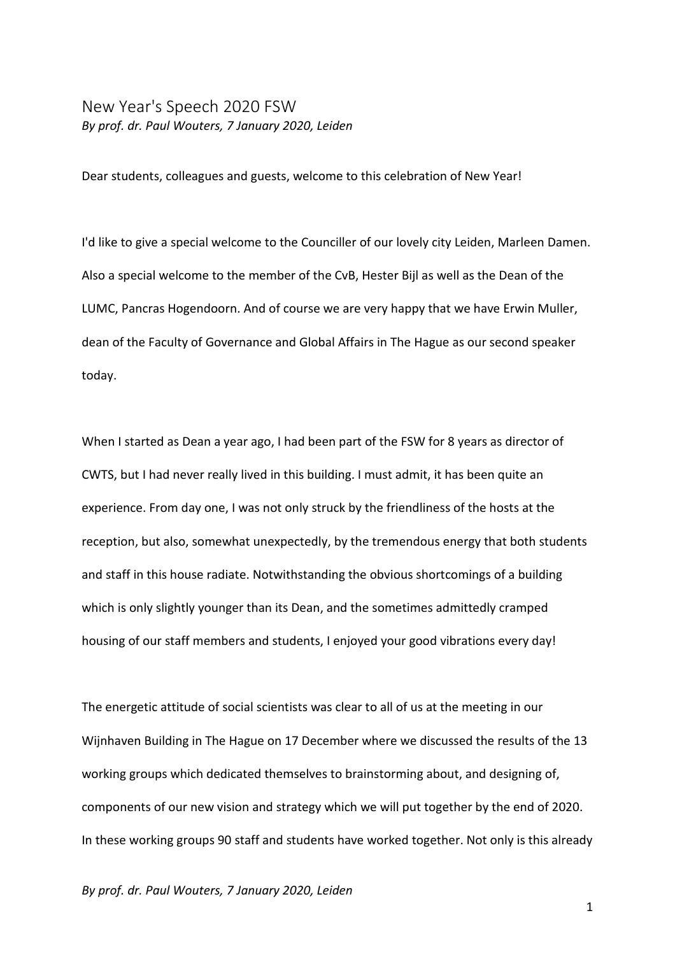## New Year's Speech 2020 FSW *By prof. dr. Paul Wouters, 7 January 2020, Leiden*

Dear students, colleagues and guests, welcome to this celebration of New Year!

I'd like to give a special welcome to the Counciller of our lovely city Leiden, Marleen Damen. Also a special welcome to the member of the CvB, Hester Bijl as well as the Dean of the LUMC, Pancras Hogendoorn. And of course we are very happy that we have Erwin Muller, dean of the Faculty of Governance and Global Affairs in The Hague as our second speaker today.

When I started as Dean a year ago, I had been part of the FSW for 8 years as director of CWTS, but I had never really lived in this building. I must admit, it has been quite an experience. From day one, I was not only struck by the friendliness of the hosts at the reception, but also, somewhat unexpectedly, by the tremendous energy that both students and staff in this house radiate. Notwithstanding the obvious shortcomings of a building which is only slightly younger than its Dean, and the sometimes admittedly cramped housing of our staff members and students, I enjoyed your good vibrations every day!

The energetic attitude of social scientists was clear to all of us at the meeting in our Wijnhaven Building in The Hague on 17 December where we discussed the results of the 13 working groups which dedicated themselves to brainstorming about, and designing of, components of our new vision and strategy which we will put together by the end of 2020. In these working groups 90 staff and students have worked together. Not only is this already

*By prof. dr. Paul Wouters, 7 January 2020, Leiden*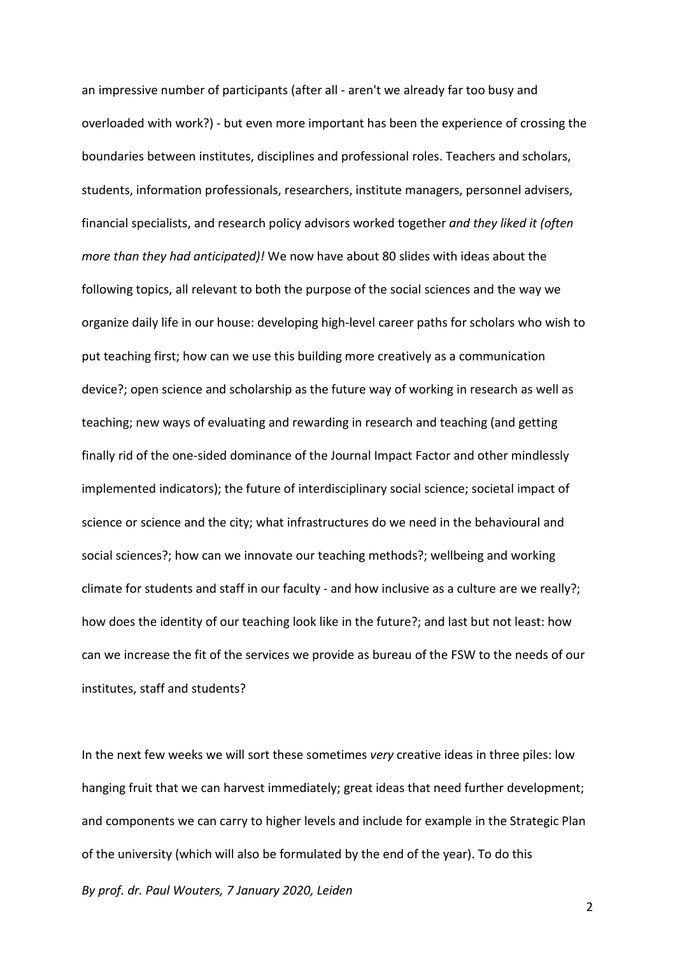an impressive number of participants (after all - aren't we already far too busy and overloaded with work?) - but even more important has been the experience of crossing the boundaries between institutes, disciplines and professional roles. Teachers and scholars, students, information professionals, researchers, institute managers, personnel advisers, financial specialists, and research policy advisors worked together *and they liked it (often more than they had anticipated)!* We now have about 80 slides with ideas about the following topics, all relevant to both the purpose of the social sciences and the way we organize daily life in our house: developing high-level career paths for scholars who wish to put teaching first; how can we use this building more creatively as a communication device?; open science and scholarship as the future way of working in research as well as teaching; new ways of evaluating and rewarding in research and teaching (and getting finally rid of the one-sided dominance of the Journal Impact Factor and other mindlessly implemented indicators); the future of interdisciplinary social science; societal impact of science or science and the city; what infrastructures do we need in the behavioural and social sciences?; how can we innovate our teaching methods?; wellbeing and working climate for students and staff in our faculty - and how inclusive as a culture are we really?; how does the identity of our teaching look like in the future?; and last but not least: how can we increase the fit of the services we provide as bureau of the FSW to the needs of our institutes, staff and students?

In the next few weeks we will sort these sometimes *very* creative ideas in three piles: low hanging fruit that we can harvest immediately; great ideas that need further development; and components we can carry to higher levels and include for example in the Strategic Plan of the university (which will also be formulated by the end of the year). To do this

*By prof. dr. Paul Wouters, 7 January 2020, Leiden*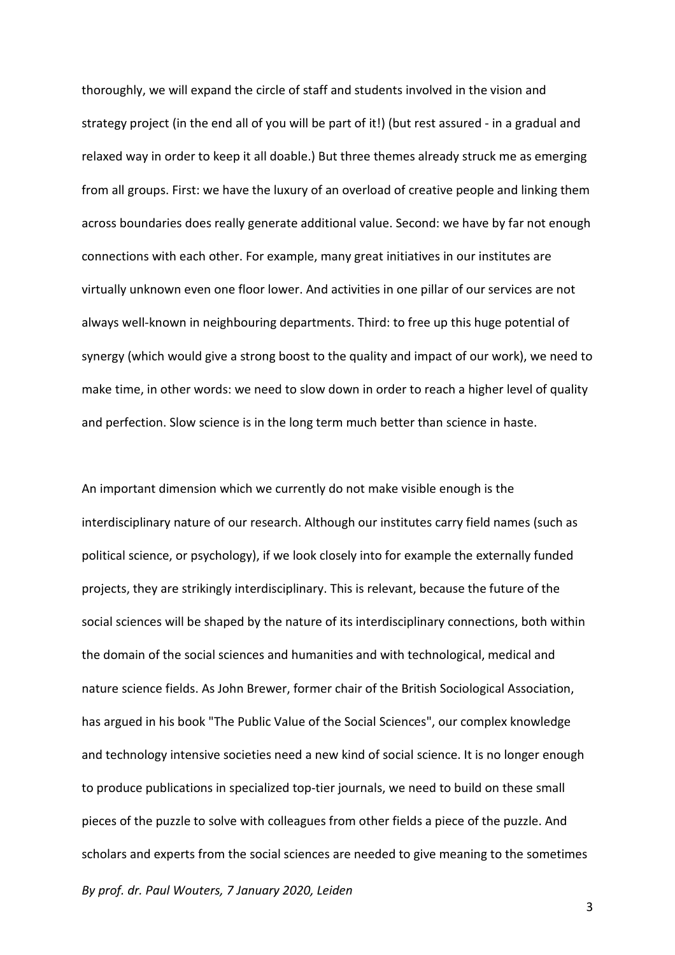thoroughly, we will expand the circle of staff and students involved in the vision and strategy project (in the end all of you will be part of it!) (but rest assured - in a gradual and relaxed way in order to keep it all doable.) But three themes already struck me as emerging from all groups. First: we have the luxury of an overload of creative people and linking them across boundaries does really generate additional value. Second: we have by far not enough connections with each other. For example, many great initiatives in our institutes are virtually unknown even one floor lower. And activities in one pillar of our services are not always well-known in neighbouring departments. Third: to free up this huge potential of synergy (which would give a strong boost to the quality and impact of our work), we need to make time, in other words: we need to slow down in order to reach a higher level of quality and perfection. Slow science is in the long term much better than science in haste.

*By prof. dr. Paul Wouters, 7 January 2020, Leiden* An important dimension which we currently do not make visible enough is the interdisciplinary nature of our research. Although our institutes carry field names (such as political science, or psychology), if we look closely into for example the externally funded projects, they are strikingly interdisciplinary. This is relevant, because the future of the social sciences will be shaped by the nature of its interdisciplinary connections, both within the domain of the social sciences and humanities and with technological, medical and nature science fields. As John Brewer, former chair of the British Sociological Association, has argued in his book "The Public Value of the Social Sciences", our complex knowledge and technology intensive societies need a new kind of social science. It is no longer enough to produce publications in specialized top-tier journals, we need to build on these small pieces of the puzzle to solve with colleagues from other fields a piece of the puzzle. And scholars and experts from the social sciences are needed to give meaning to the sometimes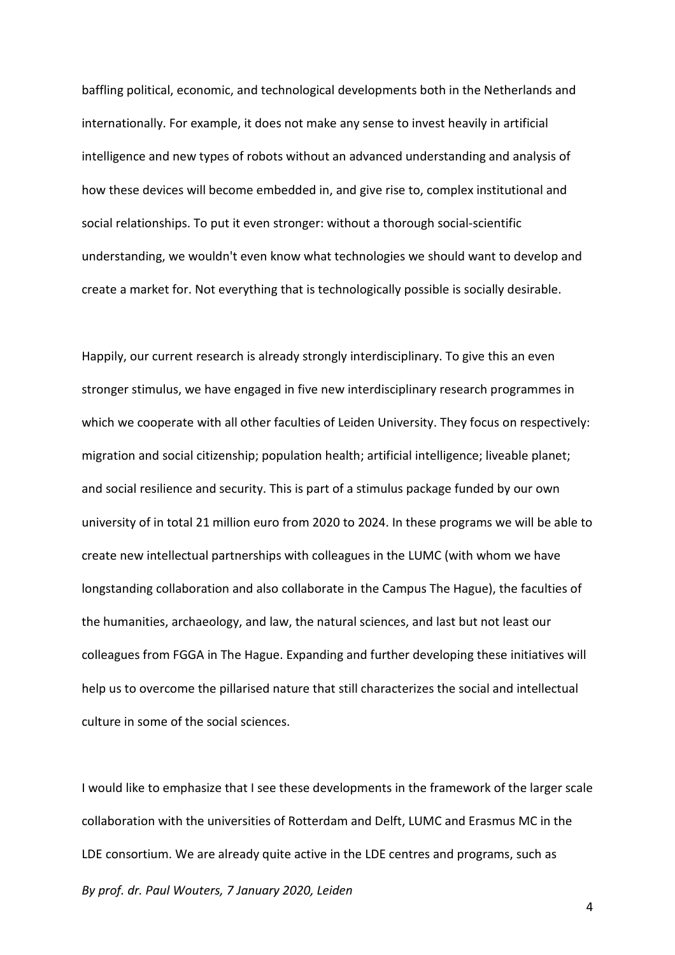baffling political, economic, and technological developments both in the Netherlands and internationally. For example, it does not make any sense to invest heavily in artificial intelligence and new types of robots without an advanced understanding and analysis of how these devices will become embedded in, and give rise to, complex institutional and social relationships. To put it even stronger: without a thorough social-scientific understanding, we wouldn't even know what technologies we should want to develop and create a market for. Not everything that is technologically possible is socially desirable.

Happily, our current research is already strongly interdisciplinary. To give this an even stronger stimulus, we have engaged in five new interdisciplinary research programmes in which we cooperate with all other faculties of Leiden University. They focus on respectively: migration and social citizenship; population health; artificial intelligence; liveable planet; and social resilience and security. This is part of a stimulus package funded by our own university of in total 21 million euro from 2020 to 2024. In these programs we will be able to create new intellectual partnerships with colleagues in the LUMC (with whom we have longstanding collaboration and also collaborate in the Campus The Hague), the faculties of the humanities, archaeology, and law, the natural sciences, and last but not least our colleagues from FGGA in The Hague. Expanding and further developing these initiatives will help us to overcome the pillarised nature that still characterizes the social and intellectual culture in some of the social sciences.

*By prof. dr. Paul Wouters, 7 January 2020, Leiden* I would like to emphasize that I see these developments in the framework of the larger scale collaboration with the universities of Rotterdam and Delft, LUMC and Erasmus MC in the LDE consortium. We are already quite active in the LDE centres and programs, such as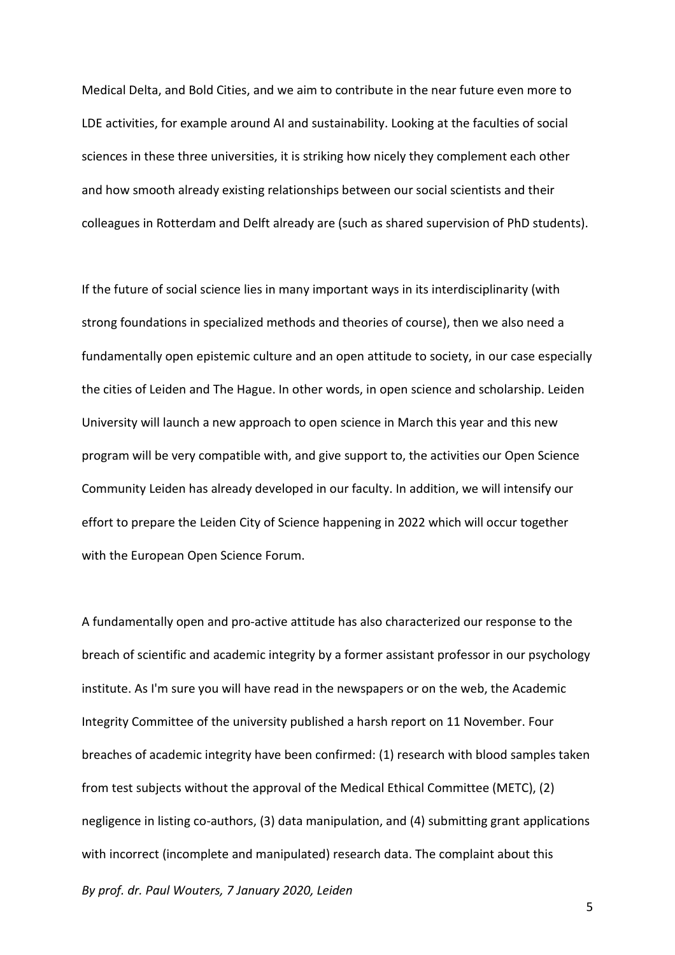Medical Delta, and Bold Cities, and we aim to contribute in the near future even more to LDE activities, for example around AI and sustainability. Looking at the faculties of social sciences in these three universities, it is striking how nicely they complement each other and how smooth already existing relationships between our social scientists and their colleagues in Rotterdam and Delft already are (such as shared supervision of PhD students).

If the future of social science lies in many important ways in its interdisciplinarity (with strong foundations in specialized methods and theories of course), then we also need a fundamentally open epistemic culture and an open attitude to society, in our case especially the cities of Leiden and The Hague. In other words, in open science and scholarship. Leiden University will launch a new approach to open science in March this year and this new program will be very compatible with, and give support to, the activities our Open Science Community Leiden has already developed in our faculty. In addition, we will intensify our effort to prepare the Leiden City of Science happening in 2022 which will occur together with the European Open Science Forum.

A fundamentally open and pro-active attitude has also characterized our response to the breach of scientific and academic integrity by a former assistant professor in our psychology institute. As I'm sure you will have read in the newspapers or on the web, the Academic Integrity Committee of the university published a harsh report on 11 November. Four breaches of academic integrity have been confirmed: (1) research with blood samples taken from test subjects without the approval of the Medical Ethical Committee (METC), (2) negligence in listing co-authors, (3) data manipulation, and (4) submitting grant applications with incorrect (incomplete and manipulated) research data. The complaint about this

*By prof. dr. Paul Wouters, 7 January 2020, Leiden*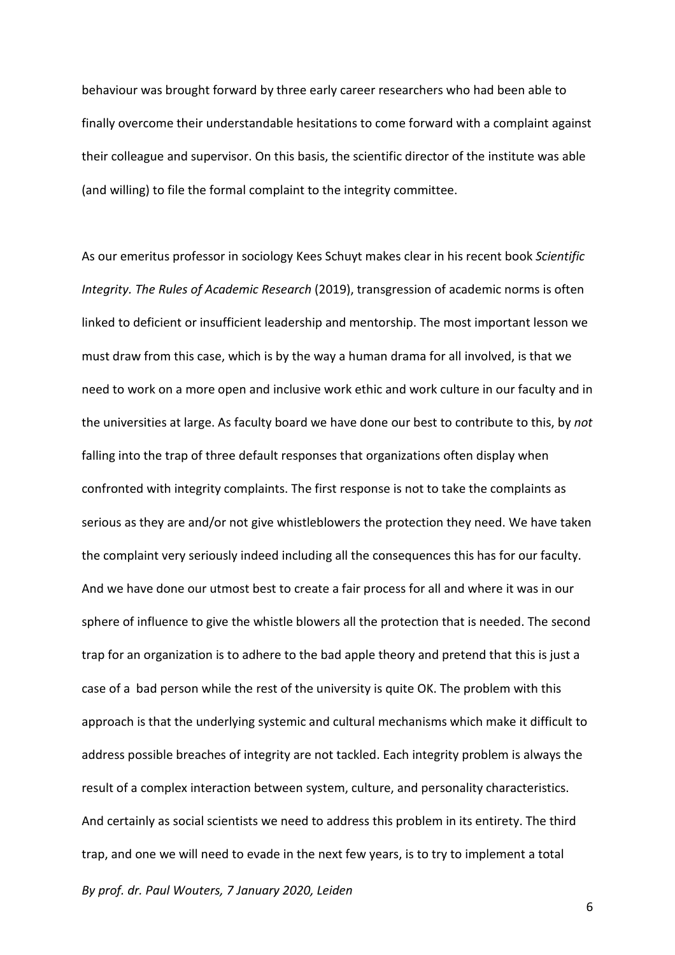behaviour was brought forward by three early career researchers who had been able to finally overcome their understandable hesitations to come forward with a complaint against their colleague and supervisor. On this basis, the scientific director of the institute was able (and willing) to file the formal complaint to the integrity committee.

As our emeritus professor in sociology Kees Schuyt makes clear in his recent book *Scientific Integrity. The Rules of Academic Research* (2019), transgression of academic norms is often linked to deficient or insufficient leadership and mentorship. The most important lesson we must draw from this case, which is by the way a human drama for all involved, is that we need to work on a more open and inclusive work ethic and work culture in our faculty and in the universities at large. As faculty board we have done our best to contribute to this, by *not* falling into the trap of three default responses that organizations often display when confronted with integrity complaints. The first response is not to take the complaints as serious as they are and/or not give whistleblowers the protection they need. We have taken the complaint very seriously indeed including all the consequences this has for our faculty. And we have done our utmost best to create a fair process for all and where it was in our sphere of influence to give the whistle blowers all the protection that is needed. The second trap for an organization is to adhere to the bad apple theory and pretend that this is just a case of a bad person while the rest of the university is quite OK. The problem with this approach is that the underlying systemic and cultural mechanisms which make it difficult to address possible breaches of integrity are not tackled. Each integrity problem is always the result of a complex interaction between system, culture, and personality characteristics. And certainly as social scientists we need to address this problem in its entirety. The third trap, and one we will need to evade in the next few years, is to try to implement a total

*By prof. dr. Paul Wouters, 7 January 2020, Leiden*